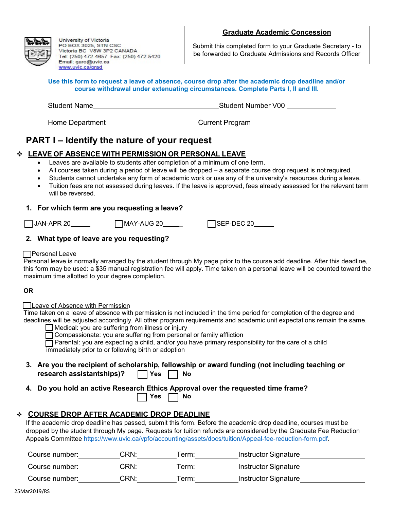#### **Graduate Academic Concession**



University of Victoria PO BOX 3025, STN CSC Victoria BC V8W 3P2 CANADA Tel: (250) 472-4657 Fax: (250) 472-5420 Email: garo@uvic.ca www.uvic.ca/grad

Submit this completed form to your Graduate Secretary - to be forwarded to Graduate Admissions and Records Officer

| Use this form to request a leave of absence, course drop after the academic drop deadline and/or<br>course withdrawal under extenuating circumstances. Complete Parts I, II and III. |                    |  |
|--------------------------------------------------------------------------------------------------------------------------------------------------------------------------------------|--------------------|--|
| <b>Student Name</b>                                                                                                                                                                  | Student Number V00 |  |

# **PART I – Identify the nature of your request**

## **LEAVE OF ABSENCE WITH PERMISSION OR PERSONAL LEAVE**

• Leaves are available to students after completion of a minimum of one term.

Home Department\_\_\_\_\_\_\_\_\_\_\_\_\_\_\_\_\_\_\_\_\_\_\_\_\_\_\_\_\_Current Program \_\_\_\_\_\_\_\_\_\_\_\_

- All courses taken during a period of leave will be dropped a separate course drop request is notrequired.
- Students cannot undertake any form of academic work or use any of the university's resources during a leave.
- Tuition fees are not assessed during leaves. If the leave is approved, fees already assessed for the relevant term will be reversed.

### **1. For which term are you requesting a leave?**

JAN-APR 20 MAY-AUG 20 \_ SEP-DEC 20

## **2. What type of leave are you requesting?**

#### **Personal Leave**

Personal leave is normally arranged by the student through My page prior to the course add deadline. After this deadline, this form may be used: a \$35 manual registration fee will apply. Time taken on a personal leave will be counted toward the maximum time allotted to your degree completion.

#### **OR**

#### **Leave of Absence with Permission**

Time taken on a leave of absence with permission is not included in the time period for completion of the degree and deadlines will be adjusted accordingly. All other program requirements and academic unit expectations remain the same.

| ∫Medical: you are suffering from illness or injury |  |  |
|----------------------------------------------------|--|--|
|----------------------------------------------------|--|--|

Compassionate: you are suffering from personal or family affliction

 Parental: you are expecting a child, and/or you have primary responsibility for the care of a child immediately prior to or following birth or adoption

- **3. Are you the recipient of scholarship, fellowship or award funding (not including teaching or research assistantships)?** TYes No
- **4. Do you hold an active Research Ethics Approval over the requested time frame?**

| v<br>res ( |  | Nο |
|------------|--|----|
|------------|--|----|

## **COURSE DROP AFTER ACADEMIC DROP DEADLINE**

If the academic drop deadline has passed, submit this form. Before the academic drop deadline, courses must be dropped by the student through My page. Requests for tuition refunds are considered by the Graduate Fee Reduction Appeals Committee [https://www.uvic.ca/vpfo/accounting/assets/docs/tuition/Appeal-fee-reduction-form.pdf.](https://www.uvic.ca/vpfo/accounting/assets/docs/tuition/Appeal-fee-reduction-form.pdf)

| Course number: | <b>CRN</b> | erm: | <b>Instructor Signature</b> |  |
|----------------|------------|------|-----------------------------|--|
| Course number: | CRN:       | erm: | Instructor Signature        |  |
| Course number: | CRN∶       | erm: | Instructor Signature        |  |